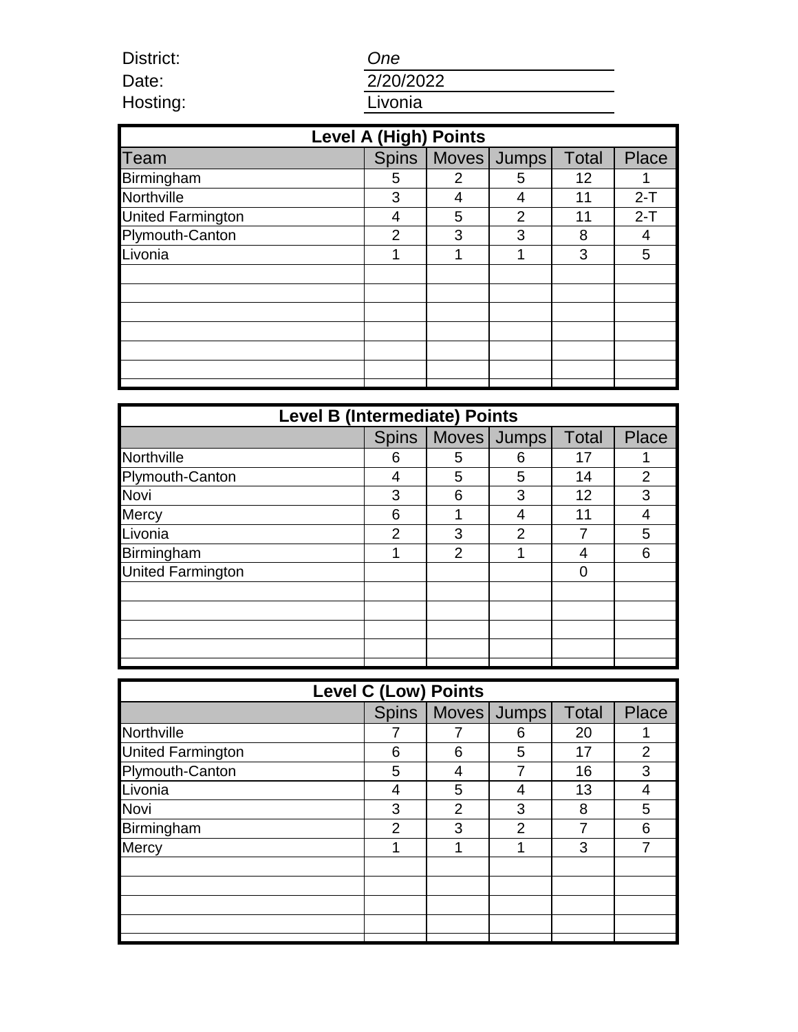*One*

Date: Hosting:

District:

| 2/20/2022 |  |  |  |
|-----------|--|--|--|
| Livonia   |  |  |  |

| <b>Level A (High) Points</b> |              |   |                |              |         |  |  |
|------------------------------|--------------|---|----------------|--------------|---------|--|--|
| Team                         | <b>Spins</b> |   | Moves Jumps    | <b>Total</b> | Place   |  |  |
| Birmingham                   | 5            | 2 | 5              | 12           |         |  |  |
| Northville                   | 3            | 4 | 4              | 11           | $2 - T$ |  |  |
| <b>United Farmington</b>     | 4            | 5 | $\overline{2}$ | 11           | $2-T$   |  |  |
| Plymouth-Canton              | 2            | 3 | 3              | 8            | 4       |  |  |
| Livonia                      |              |   |                | 3            | 5       |  |  |
|                              |              |   |                |              |         |  |  |
|                              |              |   |                |              |         |  |  |
|                              |              |   |                |              |         |  |  |
|                              |              |   |                |              |         |  |  |
|                              |              |   |                |              |         |  |  |
|                              |              |   |                |              |         |  |  |
|                              |              |   |                |              |         |  |  |

| <b>Level B (Intermediate) Points</b> |                |                |             |              |              |  |
|--------------------------------------|----------------|----------------|-------------|--------------|--------------|--|
|                                      | <b>Spins</b>   |                | Moves Jumps | <b>Total</b> | <b>Place</b> |  |
| Northville                           | 6              | 5              | 6           | 17           |              |  |
| Plymouth-Canton                      | 4              | 5              | 5           | 14           | 2            |  |
| Novi                                 | 3              | 6              | 3           | 12           | 3            |  |
| <b>Mercy</b>                         | 6              |                | 4           | 11           | 4            |  |
| Livonia                              | $\overline{2}$ | 3              | 2           |              | 5            |  |
| Birmingham                           |                | $\overline{2}$ |             | 4            | 6            |  |
| <b>United Farmington</b>             |                |                |             | 0            |              |  |
|                                      |                |                |             |              |              |  |
|                                      |                |                |             |              |              |  |
|                                      |                |                |             |              |              |  |
|                                      |                |                |             |              |              |  |
|                                      |                |                |             |              |              |  |

| <b>Level C (Low) Points</b> |               |                |                       |              |                |  |
|-----------------------------|---------------|----------------|-----------------------|--------------|----------------|--|
|                             |               |                | Spins   Moves   Jumps | <b>Total</b> | Place          |  |
| Northville                  |               |                | 6                     | 20           |                |  |
| <b>United Farmington</b>    | 6             | 6              | 5                     | 17           | $\overline{2}$ |  |
| Plymouth-Canton             | 5             |                |                       | 16           | 3              |  |
| Livonia                     |               | 5              | 4                     | 13           | 4              |  |
| Novi                        | 3             | $\overline{2}$ | 3                     | 8            | 5              |  |
| Birmingham                  | $\mathcal{P}$ | 3              | $\mathcal{P}$         |              | 6              |  |
| Mercy                       |               |                |                       | 3            |                |  |
|                             |               |                |                       |              |                |  |
|                             |               |                |                       |              |                |  |
|                             |               |                |                       |              |                |  |
|                             |               |                |                       |              |                |  |
|                             |               |                |                       |              |                |  |